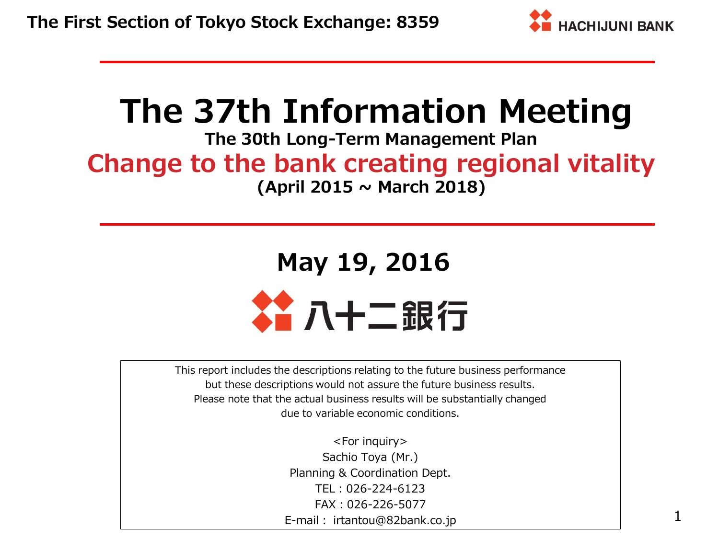

# **The 37th Information Meeting**

## **The 30th Long-Term Management Plan Change to the bank creating regional vitality (April 2015 ~ March 2018)**

# **May 19, 2016** 谷八十二銀行

This report includes the descriptions relating to the future business performance but these descriptions would not assure the future business results. Please note that the actual business results will be substantially changed due to variable economic conditions.

> <For inquiry> Sachio Toya (Mr.) Planning & Coordination Dept. TEL:026-224-6123 FAX:026-226-5077 E-mail: irtantou@82bank.co.jp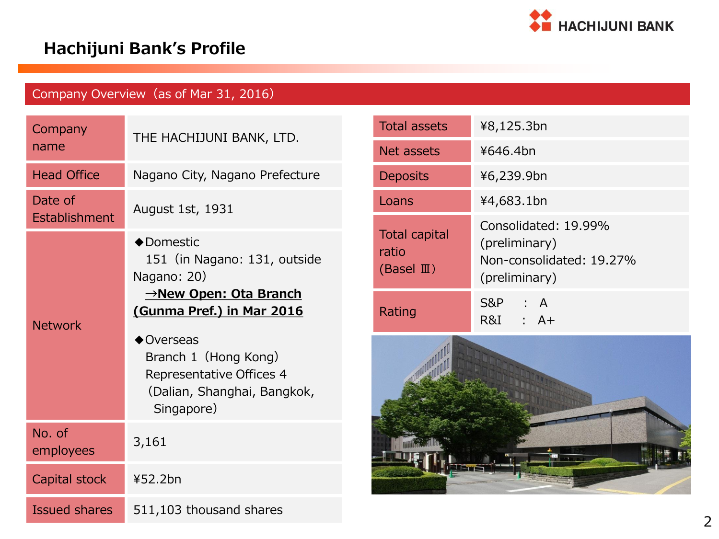

## **Hachijuni Bank's Profile**

### Company Overview (as of Mar 31, 2016)

| Company<br>name          | THE HACHIJUNI BANK, LTD.                                                                                                                                                                                                                       |
|--------------------------|------------------------------------------------------------------------------------------------------------------------------------------------------------------------------------------------------------------------------------------------|
| <b>Head Office</b>       | Nagano City, Nagano Prefecture                                                                                                                                                                                                                 |
| Date of<br>Establishment | <b>August 1st, 1931</b>                                                                                                                                                                                                                        |
| <b>Network</b>           | ◆Domestic<br>151 (in Nagano: 131, outside<br>Nagano: 20)<br><u>→New Open: Ota Branch</u><br>(Gunma Pref.) in Mar 2016<br>$\triangle$ Overseas<br>Branch 1 (Hong Kong)<br>Representative Offices 4<br>(Dalian, Shanghai, Bangkok,<br>Singapore) |
| No. of<br>employees      | 3,161                                                                                                                                                                                                                                          |
| Capital stock            | ¥52.2bn                                                                                                                                                                                                                                        |
| <b>Issued shares</b>     | 511,103 thousand shares                                                                                                                                                                                                                        |

| <b>Total assets</b>                                    | ¥8,125.3bn                                                        |
|--------------------------------------------------------|-------------------------------------------------------------------|
| Net assets                                             | ¥646.4bn                                                          |
| <b>Deposits</b>                                        | ¥6,239.9bn                                                        |
| Loans                                                  | ¥4,683.1bn                                                        |
| <b>Total capital</b><br>ratio<br>(Basel $\mathbb{I}$ ) | Consolidated: 19.99%<br>(preliminary)<br>Non-consolidated: 19.27% |
|                                                        | (preliminary)                                                     |

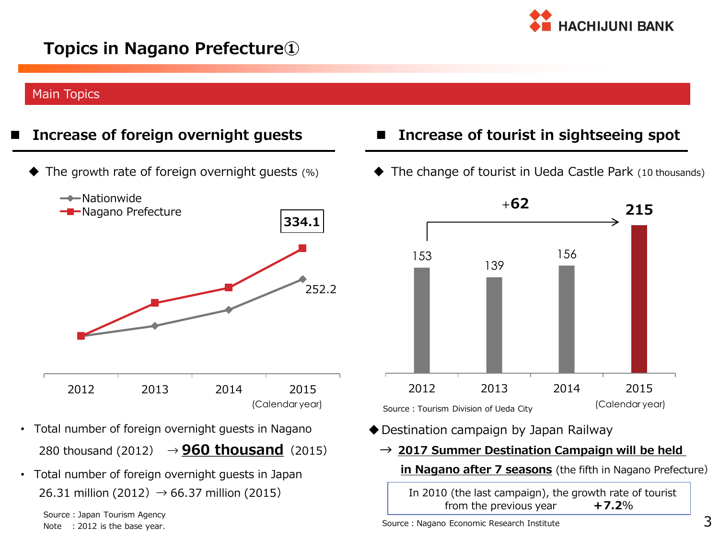

### **Topics in Nagano Prefecture①**

#### Main Topics

The growth rate of foreign overnight guests (%)



- Total number of foreign overnight guests in Nagano 280 thousand (2012)  $\rightarrow$  **960 thousand** (2015)
- Total number of foreign overnight guests in Japan 26.31 million (2012)  $→ 66.37$  million (2015)

Source:Japan Tourism Agency Note : 2012 is the base year.

- **Increase of foreign overnight guests Increase of tourist in sightseeing spot**
	- The change of tourist in Ueda Castle Park (10 thousands)



- Destination campaign by Japan Railway
	- **→ 2017 Summer Destination Campaign will be held**
		- **in Nagano after 7 seasons** (the fifth in Nagano Prefecture)

In 2010 (the last campaign), the growth rate of tourist from the previous year **+7.2**%

Source: Nagano Economic Research Institute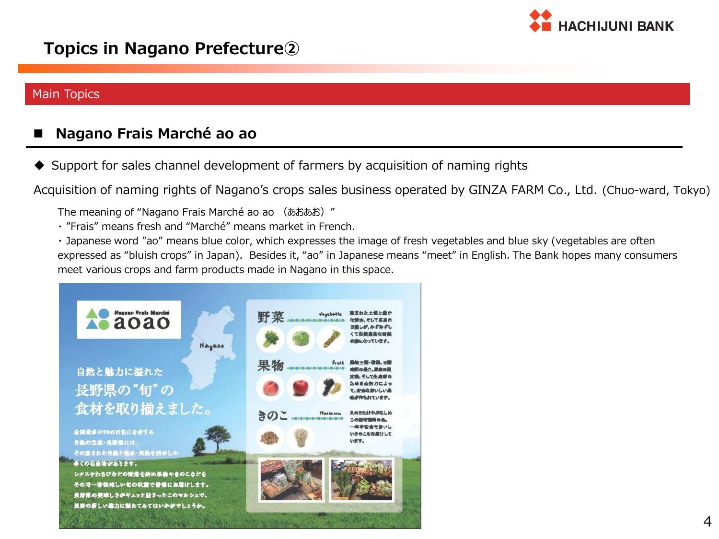

### **Topics in Nagano Prefecture②**

#### Main Topics

### **Nagano Frais Marché ao ao**

◆ Support for sales channel development of farmers by acquisition of naming rights

Acquisition of naming rights of Nagano's crops sales business operated by GINZA FARM Co., Ltd. (Chuo-ward, Tokyo)

The meaning of "Nagano Frais Marché ao ao (あおあお)"

・ "Frais" means fresh and "Marché" means market in French.

・ Japanese word "ao" means blue color, which expresses the image of fresh vegetables and blue sky (vegetables are often expressed as "bluish crops" in Japan). Besides it, "ao" in Japanese means "meet" in English. The Bank hopes many consumers meet various crops and farm products made in Nagano in this space.

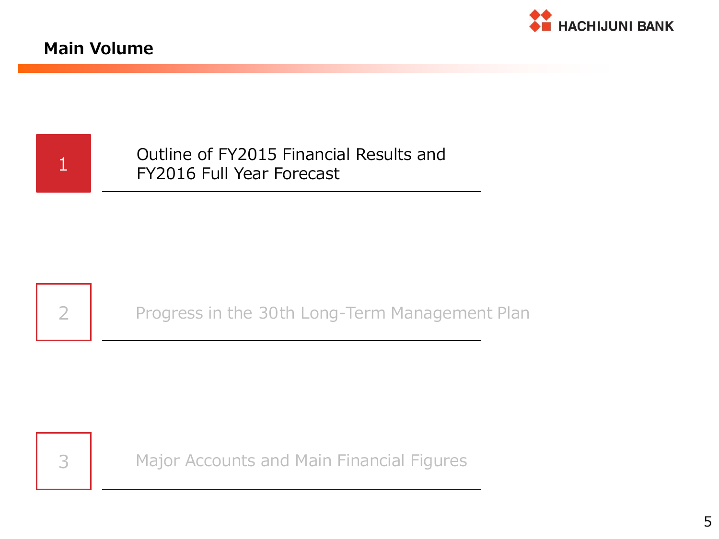

### **Main Volume**

1 **Cutline of FY2015 Financial Results and FY2016 Full Year Forecast** 



2 **Progress in the 30th Long-Term Management Plan** 



3 Major Accounts and Main Financial Figures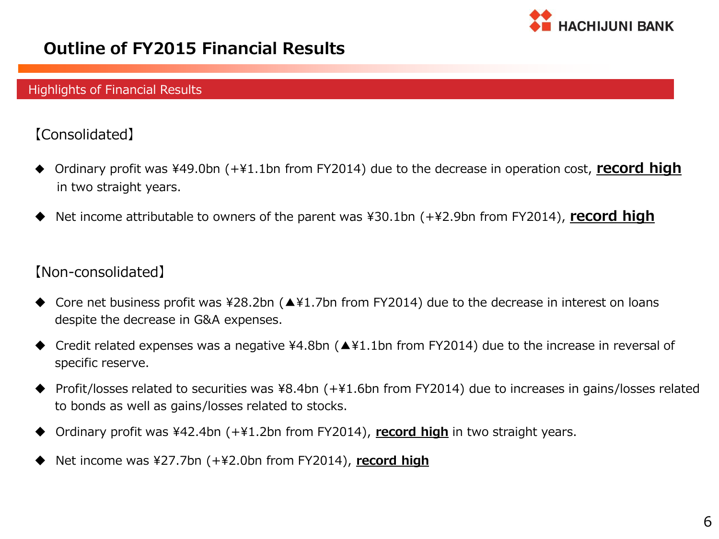

### **Outline of FY2015 Financial Results**

#### Highlights of Financial Results

### 【Consolidated】

- Ordinary profit was ¥49.0bn (+¥1.1bn from FY2014) due to the decrease in operation cost, **record high** in two straight years.
- Net income attributable to owners of the parent was ¥30.1bn (+¥2.9bn from FY2014), **record high**

#### 【Non-consolidated】

- Core net business profit was ¥28.2bn (▲¥1.7bn from FY2014) due to the decrease in interest on loans despite the decrease in G&A expenses.
- Credit related expenses was a negative ¥4.8bn (▲¥1.1bn from FY2014) due to the increase in reversal of specific reserve.
- Profit/losses related to securities was ¥8.4bn (+¥1.6bn from FY2014) due to increases in gains/losses related to bonds as well as gains/losses related to stocks.
- Ordinary profit was ¥42.4bn (+¥1.2bn from FY2014), **record high** in two straight years.
- Net income was ¥27.7bn (+¥2.0bn from FY2014), **record high**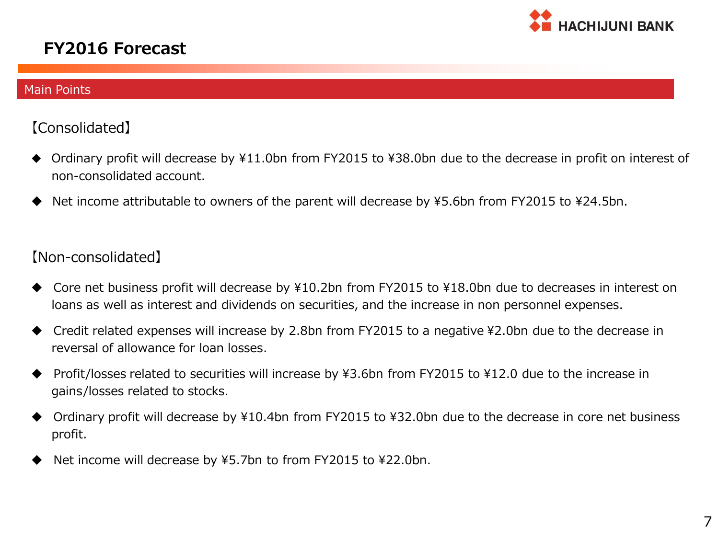

### **FY2016 Forecast**

#### Main Points

#### 【Consolidated】

- ◆ Ordinary profit will decrease by ¥11.0bn from FY2015 to ¥38.0bn due to the decrease in profit on interest of non-consolidated account.
- Net income attributable to owners of the parent will decrease by ¥5.6bn from FY2015 to ¥24.5bn.

#### 【Non-consolidated】

- ◆ Core net business profit will decrease by ¥10.2bn from FY2015 to ¥18.0bn due to decreases in interest on loans as well as interest and dividends on securities, and the increase in non personnel expenses.
- ◆ Credit related expenses will increase by 2.8bn from FY2015 to a negative ¥2.0bn due to the decrease in reversal of allowance for loan losses.
- ◆ Profit/losses related to securities will increase by ¥3.6bn from FY2015 to ¥12.0 due to the increase in gains/losses related to stocks.
- ◆ Ordinary profit will decrease by ¥10.4bn from FY2015 to ¥32.0bn due to the decrease in core net business profit.
- Net income will decrease by ¥5.7bn to from FY2015 to ¥22.0bn.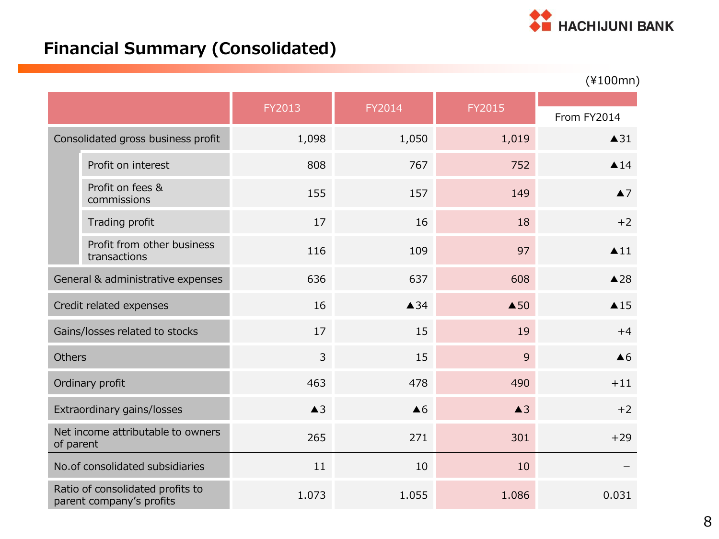

## **Financial Summary (Consolidated)**

|                                                |                                                              |               |                |                | $(*100mn)$          |
|------------------------------------------------|--------------------------------------------------------------|---------------|----------------|----------------|---------------------|
|                                                |                                                              | FY2013        | FY2014         | FY2015         | From FY2014         |
| Consolidated gross business profit             |                                                              | 1,098         | 1,050          | 1,019          | $\triangle$ 31      |
|                                                | Profit on interest                                           | 808           | 767            | 752            | $\triangle$ 14      |
|                                                | Profit on fees &<br>commissions                              | 155           | 157            | 149            | $\blacktriangle$ 7  |
|                                                | Trading profit                                               | 17            | 16             | 18             | $+2$                |
|                                                | Profit from other business<br>transactions                   | 116           | 109            | 97             | $\blacktriangle$ 11 |
| General & administrative expenses              |                                                              | 636           | 637            | 608            | $\triangle$ 28      |
|                                                | Credit related expenses                                      | 16            | $\triangle$ 34 | $\triangle$ 50 | $\triangle$ 15      |
|                                                | Gains/losses related to stocks                               | 17            | 15             | 19             | $+4$                |
| <b>Others</b>                                  |                                                              | 3             | 15             | 9              | $\triangle 6$       |
|                                                | Ordinary profit                                              | 463           | 478            | 490            | $+11$               |
|                                                | Extraordinary gains/losses                                   | $\triangle$ 3 | $\triangle 6$  | $\triangle$ 3  | $+2$                |
| Net income attributable to owners<br>of parent |                                                              | 265           | 271            | 301            | $+29$               |
|                                                | No.of consolidated subsidiaries                              | 11            | 10             | 10             |                     |
|                                                | Ratio of consolidated profits to<br>parent company's profits | 1.073         | 1.055          | 1.086          | 0.031               |

8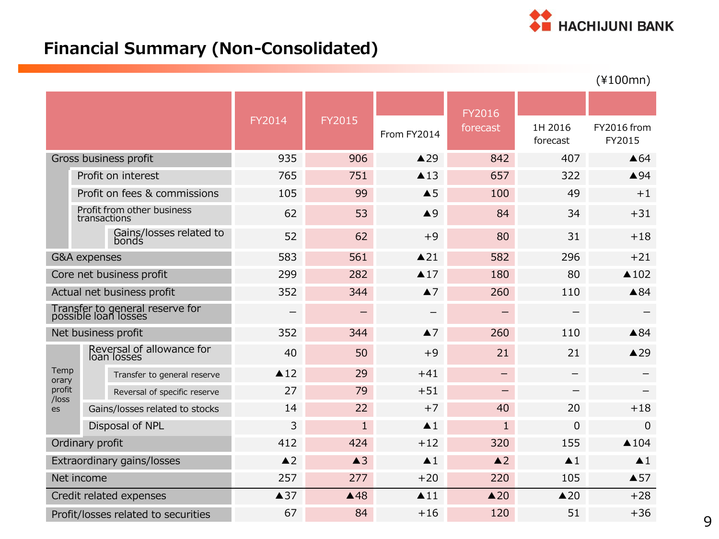

## **Financial Summary (Non-Consolidated)**

|                                     |                         |                                                         |                |                |                     |                   |                          | $(*100mn)$            |
|-------------------------------------|-------------------------|---------------------------------------------------------|----------------|----------------|---------------------|-------------------|--------------------------|-----------------------|
|                                     |                         |                                                         |                |                |                     | FY2016            |                          |                       |
|                                     |                         |                                                         | FY2014         | <b>FY2015</b>  | From FY2014         | forecast          | 1H 2016<br>forecast      | FY2016 from<br>FY2015 |
|                                     |                         | Gross business profit                                   | 935            | 906            | $\triangle$ 29      | 842               | 407                      | $\triangle 64$        |
|                                     |                         | Profit on interest                                      | 765            | 751            | $\triangle$ 13      | 657               | 322                      | ▲94                   |
|                                     |                         | Profit on fees & commissions                            | 105            | 99             | $\triangle$ 5       | 100               | 49                       | $+1$                  |
|                                     | transactions            | Profit from other business                              | 62             | 53             | $\triangle$ 9       | 84                | 34                       | $+31$                 |
|                                     |                         | Gains/losses related to<br>bonds                        | 52             | 62             | $+9$                | 80                | 31                       | $+18$                 |
|                                     | <b>G&amp;A</b> expenses |                                                         | 583            | 561            | $\triangle$ 21      | 582               | 296                      | $+21$                 |
|                                     |                         | Core net business profit                                | 299            | 282            | $\triangle 17$      | 180               | 80                       | $\triangle$ 102       |
| Actual net business profit          |                         |                                                         | 352            | 344            | $\blacktriangle$ 7  | 260               | 110                      | $\triangle 84$        |
|                                     |                         | Transfer to general reserve for<br>possible loan losses |                |                |                     |                   |                          |                       |
|                                     |                         | Net business profit                                     | 352            | 344            | $\blacktriangle$ 7  | 260               | 110                      | $\triangle 84$        |
|                                     |                         | Reversal of allowance for<br>loan losses                | 40             | 50             | $+9$                | 21                | 21                       | $\triangle$ 29        |
| Temp<br>orary                       |                         | Transfer to general reserve                             | $\triangle$ 12 | 29             | $+41$               | $\qquad \qquad -$ | —                        |                       |
| profit<br>/loss                     |                         | Reversal of specific reserve                            | 27             | 79             | $+51$               | $\qquad \qquad -$ | $\overline{\phantom{0}}$ |                       |
| es                                  |                         | Gains/losses related to stocks                          | 14             | 22             | $+7$                | 40                | 20                       | $+18$                 |
|                                     | Disposal of NPL         |                                                         | 3              | $\mathbf{1}$   | $\blacktriangle$ 1  | $\mathbf{1}$      | $\mathbf 0$              | 0                     |
| Ordinary profit                     |                         |                                                         | 412            | 424            | $+12$               | 320               | 155                      | $\triangle$ 104       |
|                                     |                         | Extraordinary gains/losses                              | $\triangle$ 2  | $\triangle$ 3  | $\blacktriangle$ 1  | $\triangle$ 2     | $\blacktriangle$ 1       | $\blacktriangle$ 1    |
|                                     | Net income              |                                                         | 257            | 277            | $+20$               | 220               | 105                      | $\triangle$ 57        |
|                                     |                         | Credit related expenses                                 | $\triangle$ 37 | $\triangle$ 48 | $\blacktriangle$ 11 | $\triangle 20$    | $\triangle 20$           | $+28$                 |
| Profit/losses related to securities |                         |                                                         | 67             | 84             | $+16$               | 120               | 51                       | $+36$                 |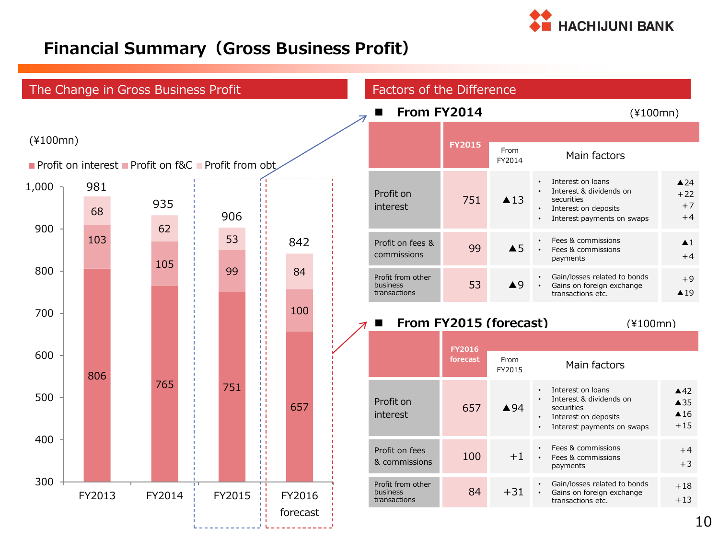

### **Financial Summary(Gross Business Profit)**

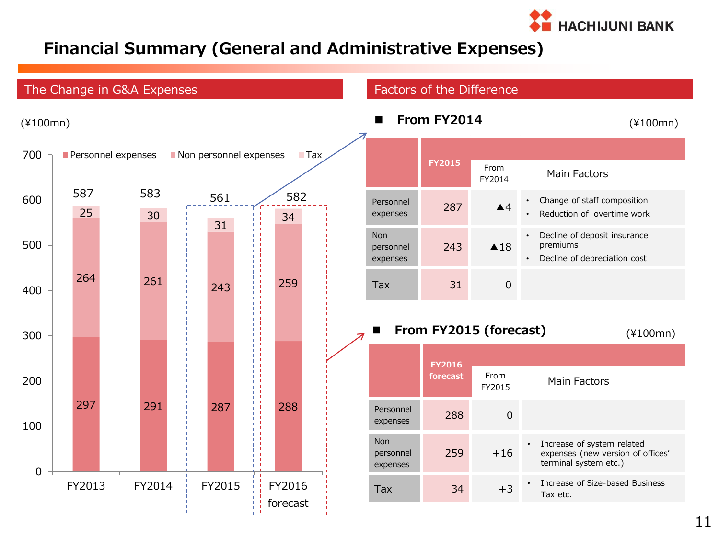

### **Financial Summary (General and Administrative Expenses)**

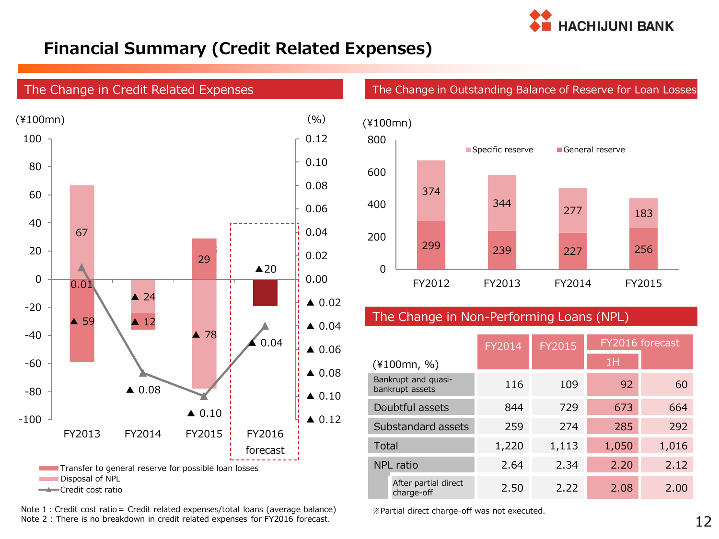

### **Financial Summary (Credit Related Expenses)**



Note 1: Credit cost ratio= Credit related expenses/total loans (average balance) <br> ※Partial direct charge-off was not executed. Note 2 : There is no breakdown in credit related expenses for FY2016 forecast.

The Change in Outstanding Balance of Reserve for Loan Losses



#### The Change in Non-Performing Loans (NPL)

|                                        |                                    | FY2014 | <b>FY2015</b> |       | FY2016 forecast |
|----------------------------------------|------------------------------------|--------|---------------|-------|-----------------|
|                                        | $(*100mn, %)$                      |        |               | 1H    |                 |
| Bankrupt and quasi-<br>bankrupt assets |                                    | 116    | 109           | 92    | 60              |
| Doubtful assets                        |                                    | 844    | 729           | 673   | 664             |
| Substandard assets                     |                                    | 259    | 274           | 285   | 292             |
| Total                                  |                                    | 1,220  | 1,113         | 1,050 | 1,016           |
| NPL ratio                              |                                    | 2.64   | 2.34          | 2.20  | 2.12            |
|                                        | After partial direct<br>charge-off | 2.50   | 2.22          | 2.08  | 2.00            |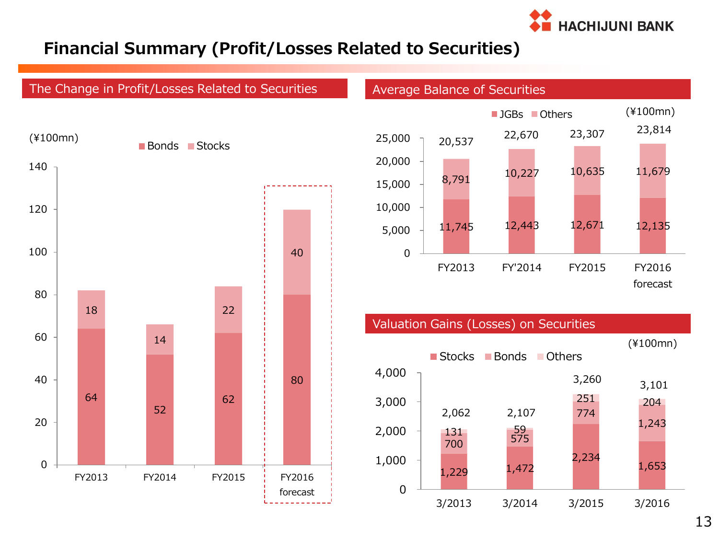

### **Financial Summary (Profit/Losses Related to Securities)**

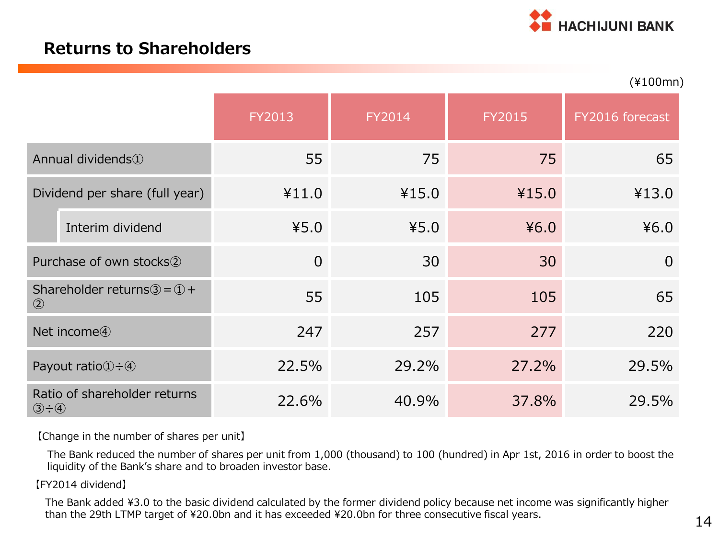

### **Returns to Shareholders**

|                                                                            |                               |                |        |               | $(*100mn)$      |
|----------------------------------------------------------------------------|-------------------------------|----------------|--------|---------------|-----------------|
|                                                                            |                               | FY2013         | FY2014 | <b>FY2015</b> | FY2016 forecast |
|                                                                            | Annual dividends <sup>1</sup> | 55             | 75     | 75            | 65              |
| Dividend per share (full year)                                             |                               | ¥11.0          | ¥15.0  | ¥15.0         | ¥13.0           |
|                                                                            | Interim dividend              | 45.0           | 45.0   | 46.0          | 46.0            |
|                                                                            | Purchase of own stocks2       | $\overline{0}$ | 30     | 30            | $\overline{0}$  |
| Shareholder returns $\textcircled{3} = \textcircled{1} +$<br>$\circled{2}$ |                               | 55             | 105    | 105           | 65              |
| Net income <sup>4</sup>                                                    |                               | 247            | 257    | 277           | 220             |
| Payout ratio $\bigoplus$ - 4                                               |                               | 22.5%          | 29.2%  | 27.2%         | 29.5%           |
| Ratio of shareholder returns<br>$\circled{3} \div \circled{4}$             |                               | 22.6%          | 40.9%  | 37.8%         | 29.5%           |

【Change in the number of shares per unit】

The Bank reduced the number of shares per unit from 1,000 (thousand) to 100 (hundred) in Apr 1st, 2016 in order to boost the liquidity of the Bank's share and to broaden investor base.

#### 【FY2014 dividend】

The Bank added ¥3.0 to the basic dividend calculated by the former dividend policy because net income was significantly higher than the 29th LTMP target of ¥20.0bn and it has exceeded ¥20.0bn for three consecutive fiscal years.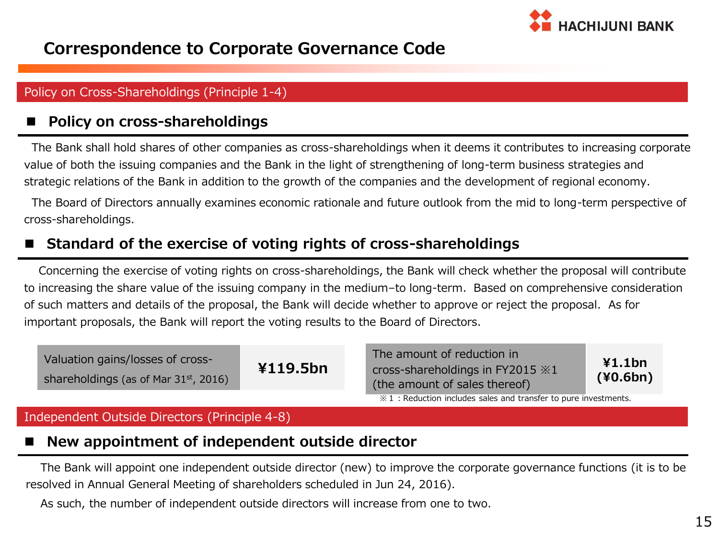

### **Correspondence to Corporate Governance Code**

#### Policy on Cross-Shareholdings (Principle 1-4)

#### **Policy on cross-shareholdings**

 The Bank shall hold shares of other companies as cross-shareholdings when it deems it contributes to increasing corporate value of both the issuing companies and the Bank in the light of strengthening of long-term business strategies and strategic relations of the Bank in addition to the growth of the companies and the development of regional economy.

The Board of Directors annually examines economic rationale and future outlook from the mid to long-term perspective of cross-shareholdings.

#### **Standard of the exercise of voting rights of cross-shareholdings**

 Concerning the exercise of voting rights on cross-shareholdings, the Bank will check whether the proposal will contribute to increasing the share value of the issuing company in the medium–to long-term. Based on comprehensive consideration of such matters and details of the proposal, the Bank will decide whether to approve or reject the proposal. As for important proposals, the Bank will report the voting results to the Board of Directors.

| Valuation gains/losses of cross-<br>shareholdings (as of Mar 31st, 2016) | ¥119.5bn | The amount of reduction in<br>cross-shareholdings in FY2015 $\&1$<br>(the amount of sales thereof) | ¥1.1bn<br>(40.6bn) |
|--------------------------------------------------------------------------|----------|----------------------------------------------------------------------------------------------------|--------------------|
|                                                                          |          | $\frac{1}{2}$ : Reduction includes sales and transfer to pure investments.                         |                    |

#### Independent Outside Directors (Principle 4-8)

### **New appointment of independent outside director**

The Bank will appoint one independent outside director (new) to improve the corporate governance functions (it is to be resolved in Annual General Meeting of shareholders scheduled in Jun 24, 2016).

As such, the number of independent outside directors will increase from one to two.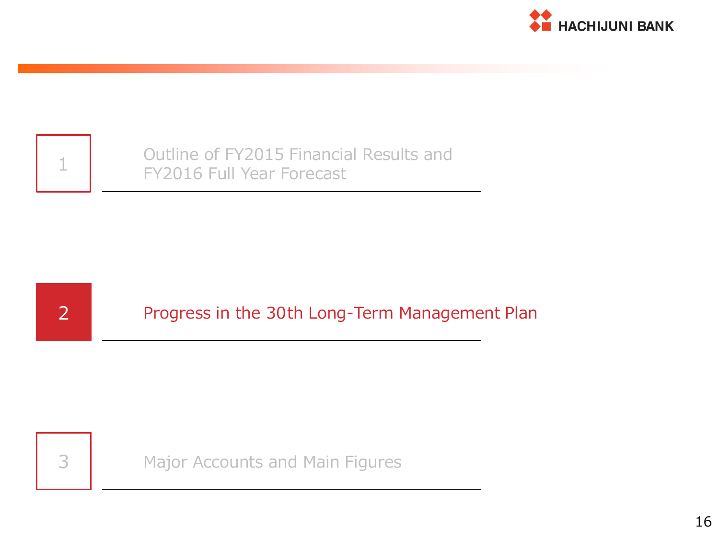



1 Outline of FY2015 Financial Results and<br>FY2016 Full Year Forecast



2 Progress in the 30th Long-Term Management Plan



3 Major Accounts and Main Figures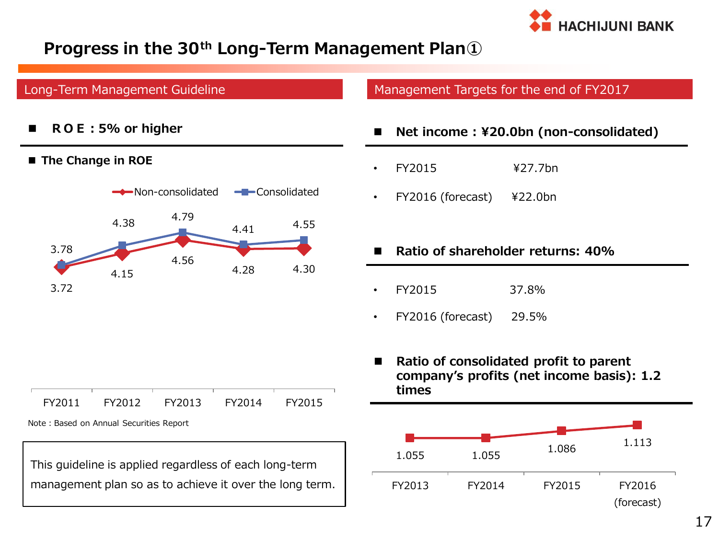

### **Progress in the 30th Long-Term Management Plan①**

#### Long-Term Management Guideline

**ROE:5% or higher**

#### **The Change in ROE**



Management Targets for the end of FY2017

- **Net income : ¥20.0bn (non-consolidated)**
- FY2015 ¥27.7bn
- FY2016 (forecast) ¥22.0bn

#### **Ratio of shareholder returns: 40%**

- FY2015 37.8%
- FY2016 (forecast) 29.5%
- **Ratio of consolidated profit to parent company's profits (net income basis): 1.2 times**

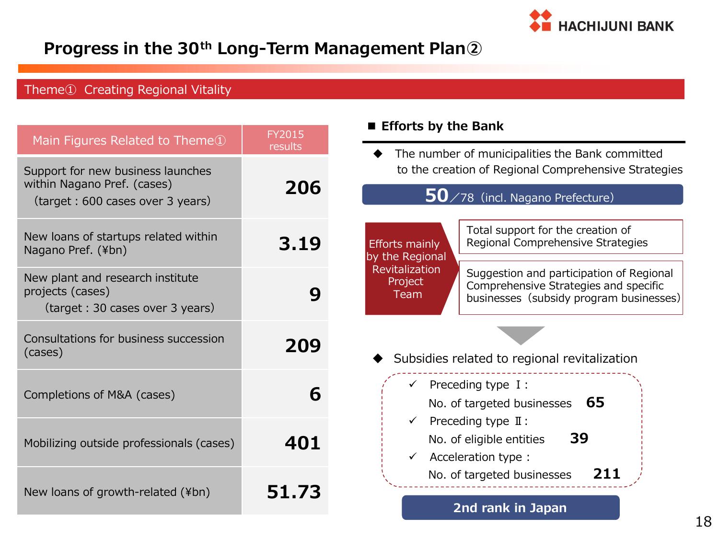

### **Progress in the 30th Long-Term Management Plan②**

### Theme① Creating Regional Vitality

| Main Figures Related to Theme <sup>1</sup>                                                           | <b>FY2015</b>  | Efforts by the Bank                                                                                                                                               |
|------------------------------------------------------------------------------------------------------|----------------|-------------------------------------------------------------------------------------------------------------------------------------------------------------------|
| Support for new business launches<br>within Nagano Pref. (cases)<br>(target: 600 cases over 3 years) | results<br>206 | The number of municipalities the Bank committed<br>to the creation of Regional Comprehensive Strategies<br>$50$ /78 (incl. Nagano Prefecture)                     |
| New loans of startups related within<br>Nagano Pref. (¥bn)                                           | 3.19           | Total support for the creation of<br>Regional Comprehensive Strategies<br><b>Efforts mainly</b><br>by the Regional                                                |
| New plant and research institute<br>projects (cases)<br>(target : 30 cases over 3 years)             | 9              | Revitalization<br>Suggestion and participation of Regional<br>Project<br>Comprehensive Strategies and specific<br>Team<br>businesses (subsidy program businesses) |
| Consultations for business succession<br>(cases)                                                     | 209            | Subsidies related to regional revitalization                                                                                                                      |
| Completions of M&A (cases)                                                                           | 6              | Preceding type I:<br>$\checkmark$<br>65<br>No. of targeted businesses                                                                                             |
| Mobilizing outside professionals (cases)                                                             | 401            | Preceding type $\mathbb{I}$ :<br>39<br>No. of eligible entities<br>Acceleration type :                                                                            |
| New loans of growth-related (¥bn)                                                                    | 51.73          | 211<br>No. of targeted businesses<br>2nd rank in Japan                                                                                                            |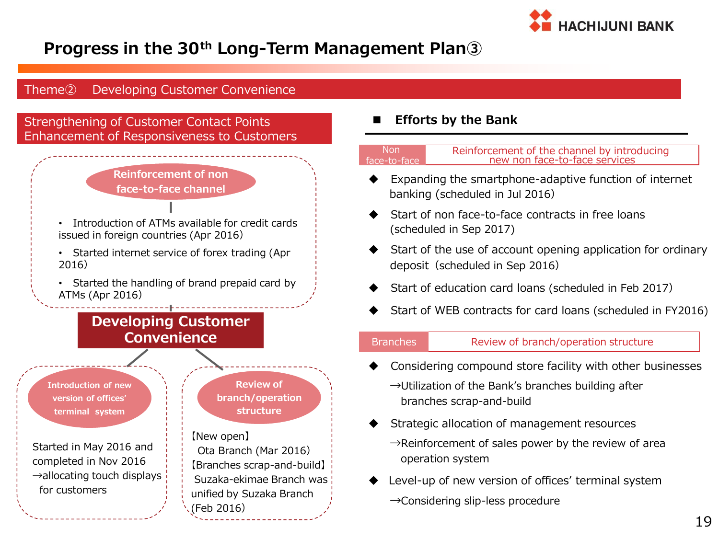

### **Progress in the 30th Long-Term Management Plan③**

#### Theme② Developing Customer Convenience

Strengthening of Customer Contact Points Enhancement of Responsiveness to Customers



- Introduction of ATMs available for credit cards issued in foreign countries (Apr 2016)
- Started internet service of forex trading (Apr 2016)
- Started the handling of brand prepaid card by ATMs (Apr 2016)

### **Developing Customer Convenience**

**Introduction of new version of offices' terminal system**

Started in May 2016 and completed in Nov 2016  $\rightarrow$ allocating touch displays for customers

**Review of branch/operation structure**

#### 【New open】 Ota Branch (Mar 2016) 【Branches scrap-and-build】 Suzaka-ekimae Branch was unified by Suzaka Branch (Feb 2016)

#### **Efforts by the Bank**

| -Non-        | Reinforcement of the channel by introducing |
|--------------|---------------------------------------------|
| face-to-face | new non face-to-face services               |
|              |                                             |

- Expanding the smartphone-adaptive function of internet banking (scheduled in Jul 2016)
- Start of non face-to-face contracts in free loans (scheduled in Sep 2017)
- Start of the use of account opening application for ordinary deposit (scheduled in Sep 2016)
- Start of education card loans (scheduled in Feb 2017)
- Start of WEB contracts for card loans (scheduled in FY2016)

ł

#### Branches Review of branch/operation structure

- Considering compound store facility with other businesses
	- $\rightarrow$ Utilization of the Bank's branches building after branches scrap-and-build
- Strategic allocation of management resources  $\rightarrow$ Reinforcement of sales power by the review of area operation system
- Level-up of new version of offices' terminal system
	- →Considering slip-less procedure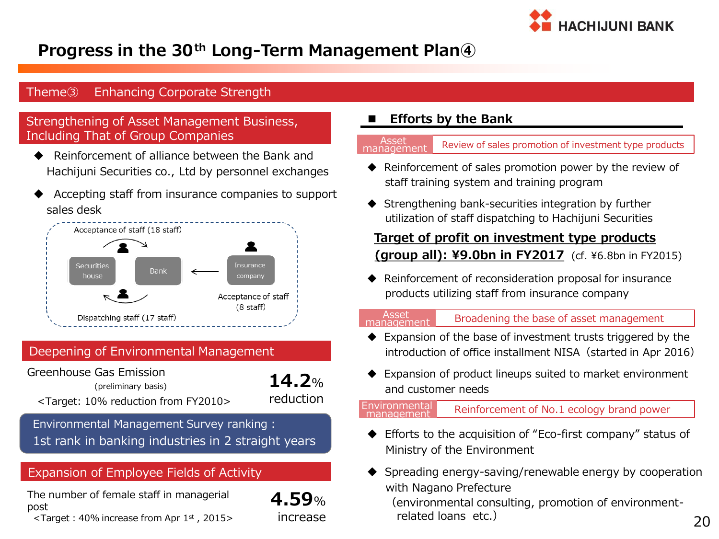

### **Progress in the 30th Long-Term Management Plan④**

#### Theme③ Enhancing Corporate Strength

#### Strengthening of Asset Management Business, Including That of Group Companies

- Reinforcement of alliance between the Bank and Hachijuni Securities co., Ltd by personnel exchanges
- Accepting staff from insurance companies to support sales desk



#### Deepening of Environmental Management

Greenhouse Gas Emission (preliminary basis) <Target: 10% reduction from FY2010>

**14.2**% reduction

**4.59**% increase

Environmental Management Survey ranking : 1st rank in banking industries in 2 straight years

#### Expansion of Employee Fields of Activity

The number of female staff in managerial post

 $\leq$ Target: 40% increase from Apr 1st, 2015>

#### **Efforts by the Bank**

Review of sales promotion of investment type products managemen

- $\blacklozenge$  Reinforcement of sales promotion power by the review of staff training system and training program
- ◆ Strengthening bank-securities integration by further utilization of staff dispatching to Hachijuni Securities

## **Target of profit on investment type products**

**(group all): ¥9.0bn in FY2017** (cf. ¥6.8bn in FY2015)

 Reinforcement of reconsideration proposal for insurance products utilizing staff from insurance company

#### management

Asset  $B_{339}$  Broadening the base of asset management

- Expansion of the base of investment trusts triggered by the introduction of office installment NISA (started in Apr 2016)
- ◆ Expansion of product lineups suited to market environment and customer needs

#### Reinforcement of No.1 ecology brand power Environmental

- ◆ Efforts to the acquisition of "Eco-first company" status of Ministry of the Environment
- $\blacklozenge$  Spreading energy-saving/renewable energy by cooperation with Nagano Prefecture

 (environmental consulting, promotion of environment related loans etc.)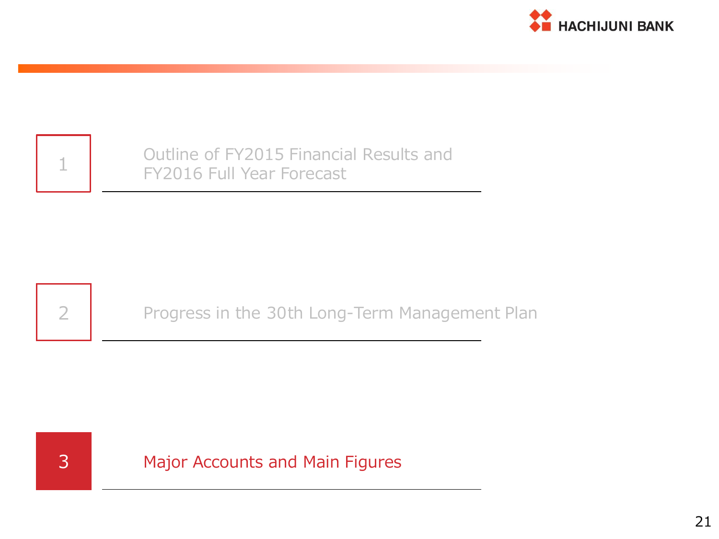

| $\mathcal{A}$<br>-- |
|---------------------|
|                     |

Outline of FY2015 Financial Results and FY2016 Full Year Forecast



2 Progress in the 30th Long-Term Management Plan



3 Major Accounts and Main Figures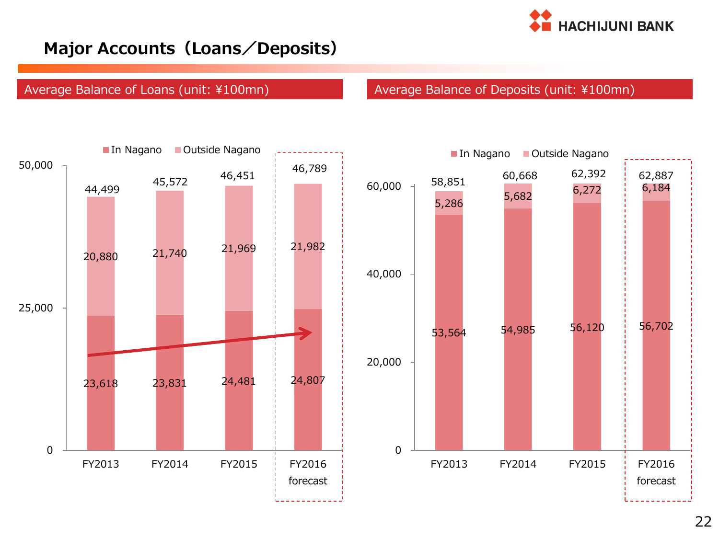

### **Major Accounts(Loans/Deposits)**

#### Average Balance of Loans (unit: ¥100mn) Average Balance of Deposits (unit: ¥100mn)

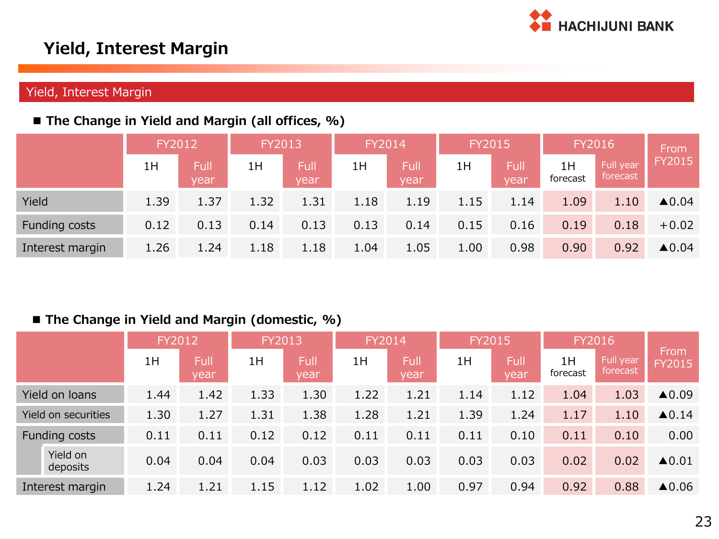

### **Yield, Interest Margin**

#### Yield, Interest Margin

#### **The Change in Yield and Margin (all offices, %)**

|                 | FY2012 |              | FY2013 |              | FY2014 |              | <b>FY2015</b> |              | FY2016         |                       | From                  |  |
|-----------------|--------|--------------|--------|--------------|--------|--------------|---------------|--------------|----------------|-----------------------|-----------------------|--|
|                 | 1H     | Full<br>year | 1H     | Full<br>year | 1H     | Full<br>year | 1H            | Full<br>vear | 1H<br>forecast | Full year<br>forecast | <b>FY2015</b>         |  |
| Yield           | 1.39   | 1.37         | 1.32   | 1.31         | 1.18   | 1.19         | 1.15          | 1.14         | 1.09           | 1.10                  | $\blacktriangle 0.04$ |  |
| Funding costs   | 0.12   | 0.13         | 0.14   | 0.13         | 0.13   | 0.14         | 0.15          | 0.16         | 0.19           | 0.18                  | $+0.02$               |  |
| Interest margin | 1.26   | 1.24         | 1.18   | 1.18         | 1.04   | 1.05         | 1.00          | 0.98         | 0.90           | 0.92                  | $\blacktriangle 0.04$ |  |

#### **The Change in Yield and Margin (domestic, %)**

|                      |                      | FY2012       |      | FY2013<br>FY2014 |      | <b>FY2015</b> |      | FY2016              |                |                       |                       |                  |
|----------------------|----------------------|--------------|------|------------------|------|---------------|------|---------------------|----------------|-----------------------|-----------------------|------------------|
|                      | 1H                   | Full<br>year | 1H   | Full<br>year     | 1H   | Full<br>year  | 1H   | <b>Full</b><br>year | 1H<br>forecast | Full year<br>forecast | From<br><b>FY2015</b> |                  |
|                      | Yield on loans       | 1.44         | 1.42 | 1.33             | 1.30 | 1.22          | 1.21 | 1.14                | 1.12           | 1.04                  | 1.03                  | $\triangle$ 0.09 |
|                      | Yield on securities  | 1.30         | 1.27 | 1.31             | 1.38 | 1.28          | 1.21 | 1.39                | 1.24           | 1.17                  | 1.10                  | $\triangle$ 0.14 |
| <b>Funding costs</b> |                      | 0.11         | 0.11 | 0.12             | 0.12 | 0.11          | 0.11 | 0.11                | 0.10           | 0.11                  | 0.10                  | 0.00             |
|                      | Yield on<br>deposits | 0.04         | 0.04 | 0.04             | 0.03 | 0.03          | 0.03 | 0.03                | 0.03           | 0.02                  | 0.02                  | $\triangle$ 0.01 |
| Interest margin      |                      | 1.24         | 1.21 | 1.15             | 1.12 | 1.02          | 1.00 | 0.97                | 0.94           | 0.92                  | 0.88                  | $\triangle$ 0.06 |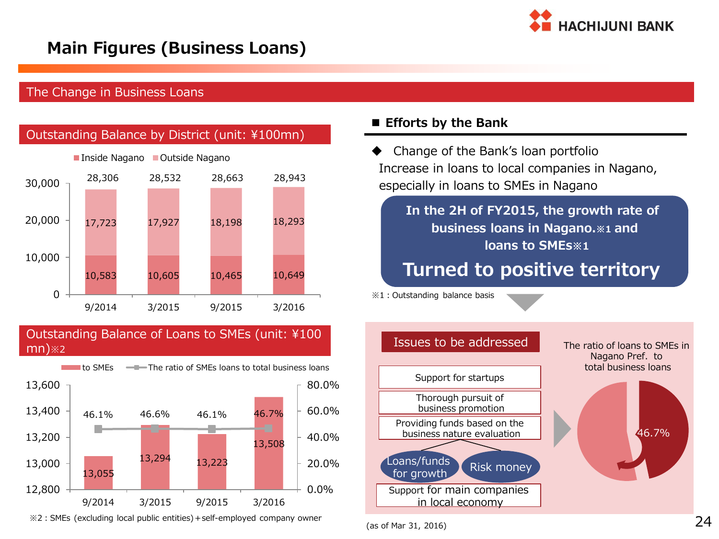

### **Main Figures (Business Loans)**

#### The Change in Business Loans



Outstanding Balance of Loans to SMEs (unit: ¥100 mn)※2



※2:SMEs (excluding local public entities)+self-employed company owner

#### **Efforts by the Bank**

Increase in loans to local companies in Nagano, especially in loans to SMEs in Nagano

### **In the 2H of FY2015, the growth rate of business loans in Nagano.※1 and loans to SMEs※1**

## **Turned to positive territory**

※1:Outstanding balance basis

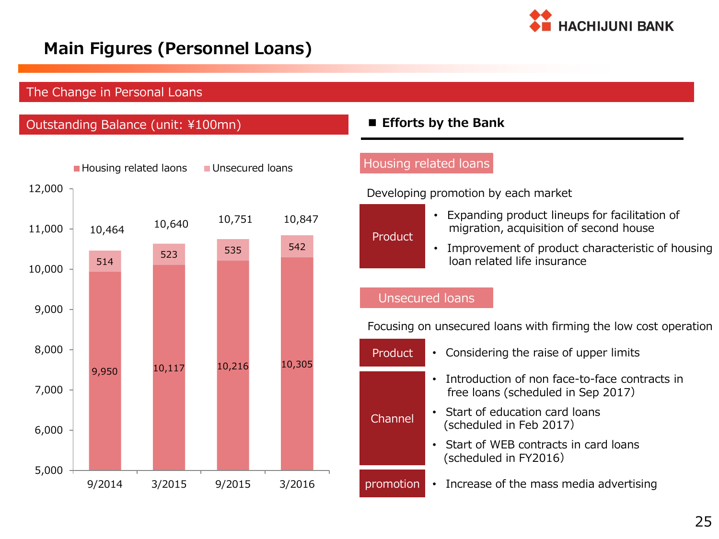

### **Main Figures (Personnel Loans)**

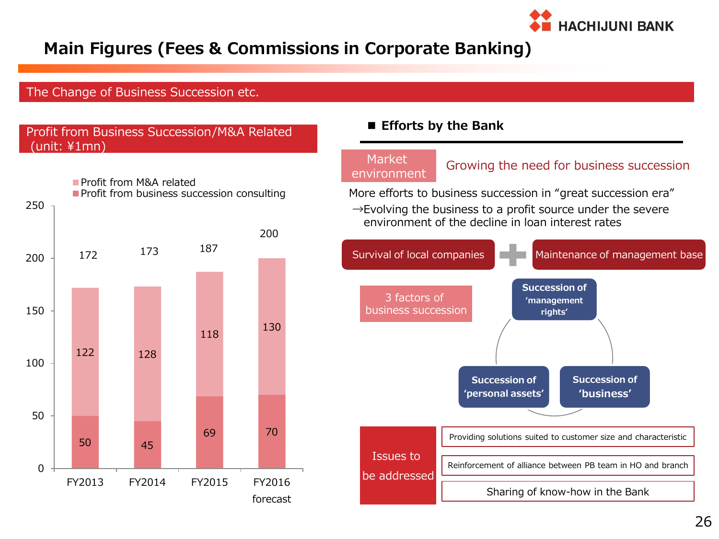

### **Main Figures (Fees & Commissions in Corporate Banking)**

#### The Change of Business Succession etc.



#### **Efforts by the Bank**

# **Market**

The Islam Growing the need for business succession<br>environment

More efforts to business succession in "great succession era"  $\rightarrow$ Evolving the business to a profit source under the severe environment of the decline in loan interest rates

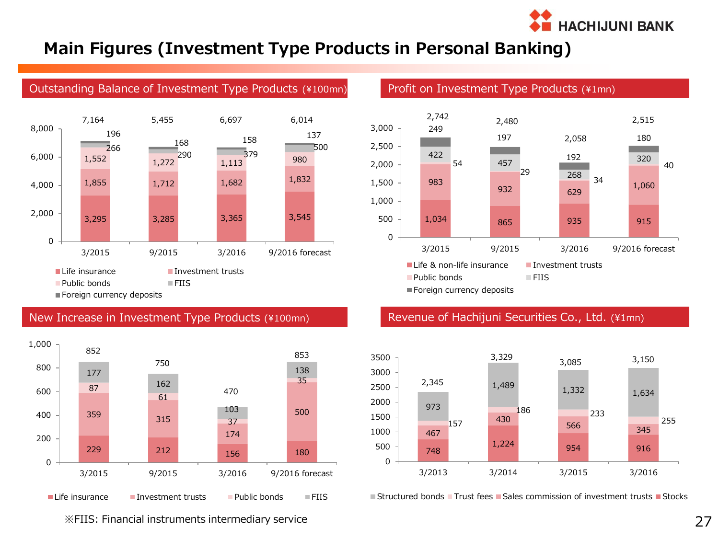

### **Main Figures (Investment Type Products in Personal Banking)**



#### Outstanding Balance of Investment Type Products (¥100mn) Profit on Investment Type Products (¥1mn)



#### New Increase in Investment Type Products (¥100mn)



#### Revenue of Hachijuni Securities Co., Ltd. (¥1mn)



 $\blacksquare$  Structured bonds  $\blacksquare$  Trust fees  $\blacksquare$  Sales commission of investment trusts  $\blacksquare$  Stocks

※FIIS: Financial instruments intermediary service